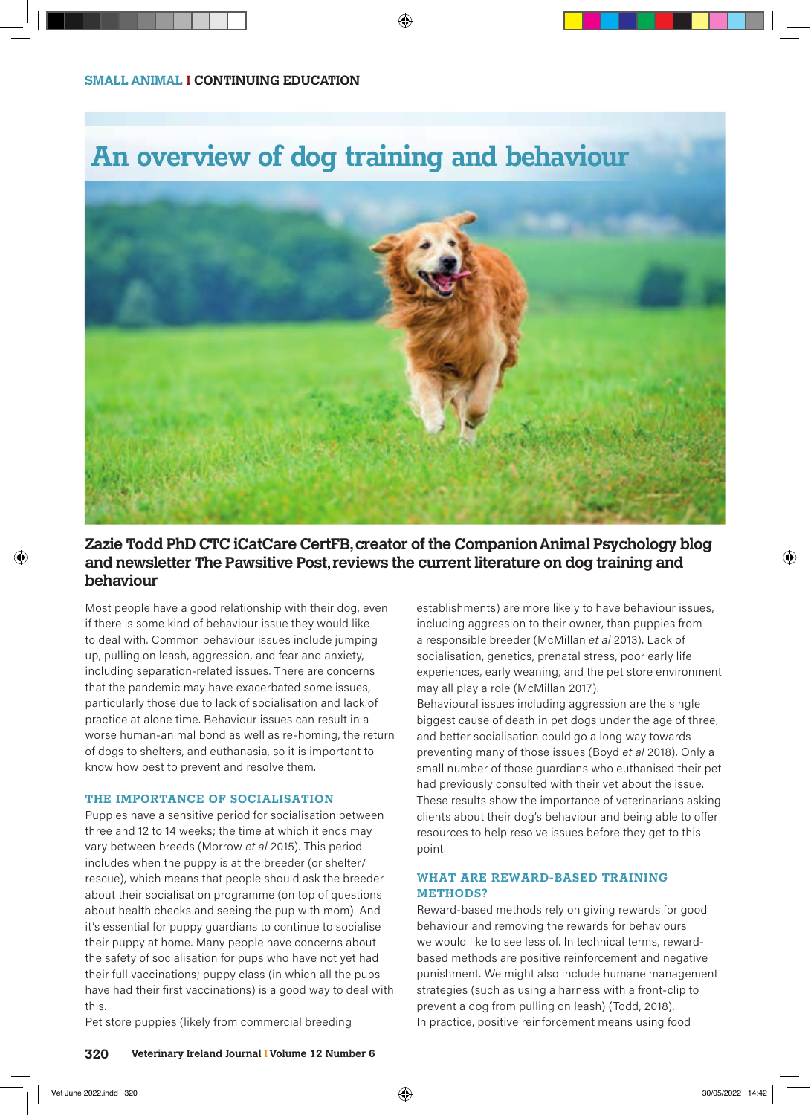# **An overview of dog training and behaviour**



## **Zazie Todd PhD CTC iCatCare CertFB, creator of the Companion Animal Psychology blog and newsletter The Pawsitive Post, reviews the current literature on dog training and behaviour**

Most people have a good relationship with their dog, even if there is some kind of behaviour issue they would like to deal with. Common behaviour issues include jumping up, pulling on leash, aggression, and fear and anxiety, including separation-related issues. There are concerns that the pandemic may have exacerbated some issues, particularly those due to lack of socialisation and lack of practice at alone time. Behaviour issues can result in a worse human-animal bond as well as re-homing, the return of dogs to shelters, and euthanasia, so it is important to know how best to prevent and resolve them.

### **THE IMPORTANCE OF SOCIALISATION**

Puppies have a sensitive period for socialisation between three and 12 to 14 weeks; the time at which it ends may vary between breeds (Morrow *et al* 2015). This period includes when the puppy is at the breeder (or shelter/ rescue), which means that people should ask the breeder about their socialisation programme (on top of questions about health checks and seeing the pup with mom). And it's essential for puppy guardians to continue to socialise their puppy at home. Many people have concerns about the safety of socialisation for pups who have not yet had their full vaccinations; puppy class (in which all the pups have had their first vaccinations) is a good way to deal with this.

Pet store puppies (likely from commercial breeding

establishments) are more likely to have behaviour issues, including aggression to their owner, than puppies from a responsible breeder (McMillan *et al* 2013). Lack of socialisation, genetics, prenatal stress, poor early life experiences, early weaning, and the pet store environment may all play a role (McMillan 2017).

Behavioural issues including aggression are the single biggest cause of death in pet dogs under the age of three, and better socialisation could go a long way towards preventing many of those issues (Boyd *et al* 2018). Only a small number of those guardians who euthanised their pet had previously consulted with their vet about the issue. These results show the importance of veterinarians asking clients about their dog's behaviour and being able to offer resources to help resolve issues before they get to this point.

#### **WHAT ARE REWARD-BASED TRAINING METHODS?**

Reward-based methods rely on giving rewards for good behaviour and removing the rewards for behaviours we would like to see less of. In technical terms, rewardbased methods are positive reinforcement and negative punishment. We might also include humane management strategies (such as using a harness with a front-clip to prevent a dog from pulling on leash) (Todd, 2018). In practice, positive reinforcement means using food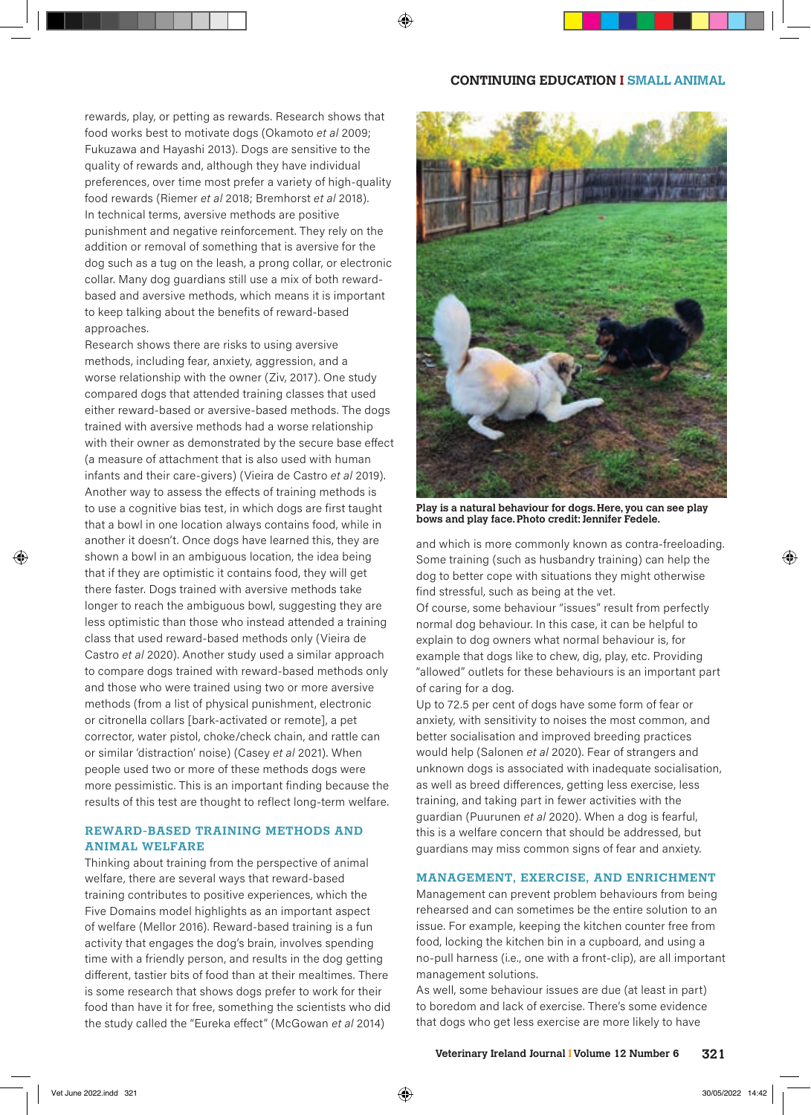#### **CONTINUING EDUCATION I SMALL ANIMAL**

rewards, play, or petting as rewards. Research shows that food works best to motivate dogs (Okamoto *et al* 2009; Fukuzawa and Hayashi 2013). Dogs are sensitive to the quality of rewards and, although they have individual preferences, over time most prefer a variety of high-quality food rewards (Riemer *et al* 2018; Bremhorst *et al* 2018). In technical terms, aversive methods are positive punishment and negative reinforcement. They rely on the addition or removal of something that is aversive for the dog such as a tug on the leash, a prong collar, or electronic collar. Many dog guardians still use a mix of both rewardbased and aversive methods, which means it is important to keep talking about the benefits of reward-based approaches.

Research shows there are risks to using aversive methods, including fear, anxiety, aggression, and a worse relationship with the owner (Ziv, 2017). One study compared dogs that attended training classes that used either reward-based or aversive-based methods. The dogs trained with aversive methods had a worse relationship with their owner as demonstrated by the secure base effect (a measure of attachment that is also used with human infants and their care-givers) (Vieira de Castro *et al* 2019). Another way to assess the effects of training methods is to use a cognitive bias test, in which dogs are first taught that a bowl in one location always contains food, while in another it doesn't. Once dogs have learned this, they are shown a bowl in an ambiguous location, the idea being that if they are optimistic it contains food, they will get there faster. Dogs trained with aversive methods take longer to reach the ambiguous bowl, suggesting they are less optimistic than those who instead attended a training class that used reward-based methods only (Vieira de Castro *et al* 2020). Another study used a similar approach to compare dogs trained with reward-based methods only and those who were trained using two or more aversive methods (from a list of physical punishment, electronic or citronella collars [bark-activated or remote], a pet corrector, water pistol, choke/check chain, and rattle can or similar 'distraction' noise) (Casey *et al* 2021). When people used two or more of these methods dogs were more pessimistic. This is an important finding because the results of this test are thought to reflect long-term welfare.

#### **REWARD-BASED TRAINING METHODS AND ANIMAL WELFARE**

Thinking about training from the perspective of animal welfare, there are several ways that reward-based training contributes to positive experiences, which the Five Domains model highlights as an important aspect of welfare (Mellor 2016). Reward-based training is a fun activity that engages the dog's brain, involves spending time with a friendly person, and results in the dog getting different, tastier bits of food than at their mealtimes. There is some research that shows dogs prefer to work for their food than have it for free, something the scientists who did the study called the "Eureka effect" (McGowan *et al* 2014)



**Play is a natural behaviour for dogs. Here, you can see play bows and play face. Photo credit: Jennifer Fedele.**

and which is more commonly known as contra-freeloading. Some training (such as husbandry training) can help the dog to better cope with situations they might otherwise find stressful, such as being at the vet.

Of course, some behaviour "issues" result from perfectly normal dog behaviour. In this case, it can be helpful to explain to dog owners what normal behaviour is, for example that dogs like to chew, dig, play, etc. Providing "allowed" outlets for these behaviours is an important part of caring for a dog.

Up to 72.5 per cent of dogs have some form of fear or anxiety, with sensitivity to noises the most common, and better socialisation and improved breeding practices would help (Salonen *et al* 2020). Fear of strangers and unknown dogs is associated with inadequate socialisation, as well as breed differences, getting less exercise, less training, and taking part in fewer activities with the guardian (Puurunen *et al* 2020). When a dog is fearful, this is a welfare concern that should be addressed, but guardians may miss common signs of fear and anxiety.

#### **MANAGEMENT, EXERCISE, AND ENRICHMENT**

Management can prevent problem behaviours from being rehearsed and can sometimes be the entire solution to an issue. For example, keeping the kitchen counter free from food, locking the kitchen bin in a cupboard, and using a no-pull harness (i.e., one with a front-clip), are all important management solutions.

As well, some behaviour issues are due (at least in part) to boredom and lack of exercise. There's some evidence that dogs who get less exercise are more likely to have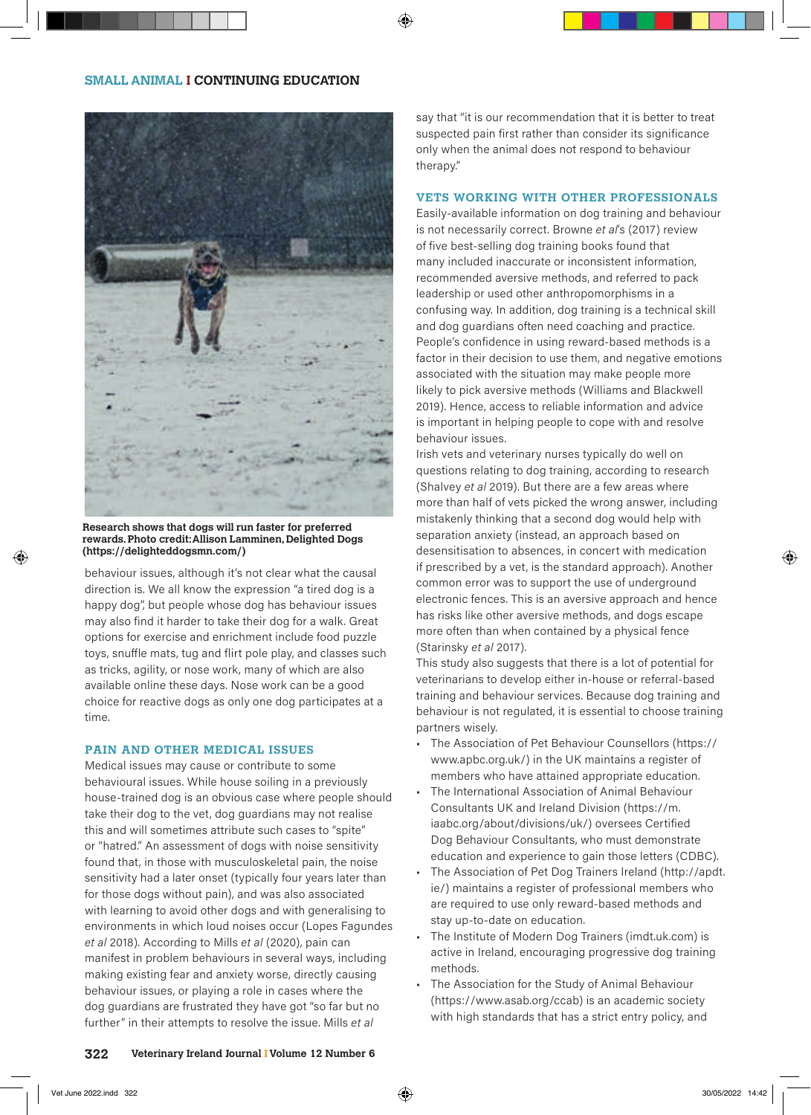

**Research shows that dogs will run faster for preferred rewards. Photo credit: Allison Lamminen, Delighted Dogs (https://delighteddogsmn.com/)**

behaviour issues, although it's not clear what the causal direction is. We all know the expression "a tired dog is a happy dog", but people whose dog has behaviour issues may also find it harder to take their dog for a walk. Great options for exercise and enrichment include food puzzle toys, snuffle mats, tug and flirt pole play, and classes such as tricks, agility, or nose work, many of which are also available online these days. Nose work can be a good choice for reactive dogs as only one dog participates at a time.

#### **PAIN AND OTHER MEDICAL ISSUES**

Medical issues may cause or contribute to some behavioural issues. While house soiling in a previously house-trained dog is an obvious case where people should take their dog to the vet, dog guardians may not realise this and will sometimes attribute such cases to "spite" or "hatred." An assessment of dogs with noise sensitivity found that, in those with musculoskeletal pain, the noise sensitivity had a later onset (typically four years later than for those dogs without pain), and was also associated with learning to avoid other dogs and with generalising to environments in which loud noises occur (Lopes Fagundes *et al* 2018). According to Mills *et al* (2020), pain can manifest in problem behaviours in several ways, including making existing fear and anxiety worse, directly causing behaviour issues, or playing a role in cases where the dog guardians are frustrated they have got "so far but no further" in their attempts to resolve the issue. Mills *et al*

say that "it is our recommendation that it is better to treat suspected pain first rather than consider its significance only when the animal does not respond to behaviour therapy."

#### **VETS WORKING WITH OTHER PROFESSIONALS**

Easily-available information on dog training and behaviour is not necessarily correct. Browne *et al*'s (2017) review of five best-selling dog training books found that many included inaccurate or inconsistent information, recommended aversive methods, and referred to pack leadership or used other anthropomorphisms in a confusing way. In addition, dog training is a technical skill and dog guardians often need coaching and practice. People's confidence in using reward-based methods is a factor in their decision to use them, and negative emotions associated with the situation may make people more likely to pick aversive methods (Williams and Blackwell 2019). Hence, access to reliable information and advice is important in helping people to cope with and resolve behaviour issues.

Irish vets and veterinary nurses typically do well on questions relating to dog training, according to research (Shalvey *et al* 2019). But there are a few areas where more than half of vets picked the wrong answer, including mistakenly thinking that a second dog would help with separation anxiety (instead, an approach based on desensitisation to absences, in concert with medication if prescribed by a vet, is the standard approach). Another common error was to support the use of underground electronic fences. This is an aversive approach and hence has risks like other aversive methods, and dogs escape more often than when contained by a physical fence (Starinsky *et al* 2017).

This study also suggests that there is a lot of potential for veterinarians to develop either in-house or referral-based training and behaviour services. Because dog training and behaviour is not regulated, it is essential to choose training partners wisely.

- The Association of Pet Behaviour Counsellors (https:// www.apbc.org.uk/) in the UK maintains a register of members who have attained appropriate education.
- The International Association of Animal Behaviour Consultants UK and Ireland Division (https://m. iaabc.org/about/divisions/uk/) oversees Certified Dog Behaviour Consultants, who must demonstrate education and experience to gain those letters (CDBC).
- The Association of Pet Dog Trainers Ireland (http://apdt. ie/) maintains a register of professional members who are required to use only reward-based methods and stay up-to-date on education.
- The Institute of Modern Dog Trainers (imdt.uk.com) is active in Ireland, encouraging progressive dog training methods.
- The Association for the Study of Animal Behaviour (https://www.asab.org/ccab) is an academic society with high standards that has a strict entry policy, and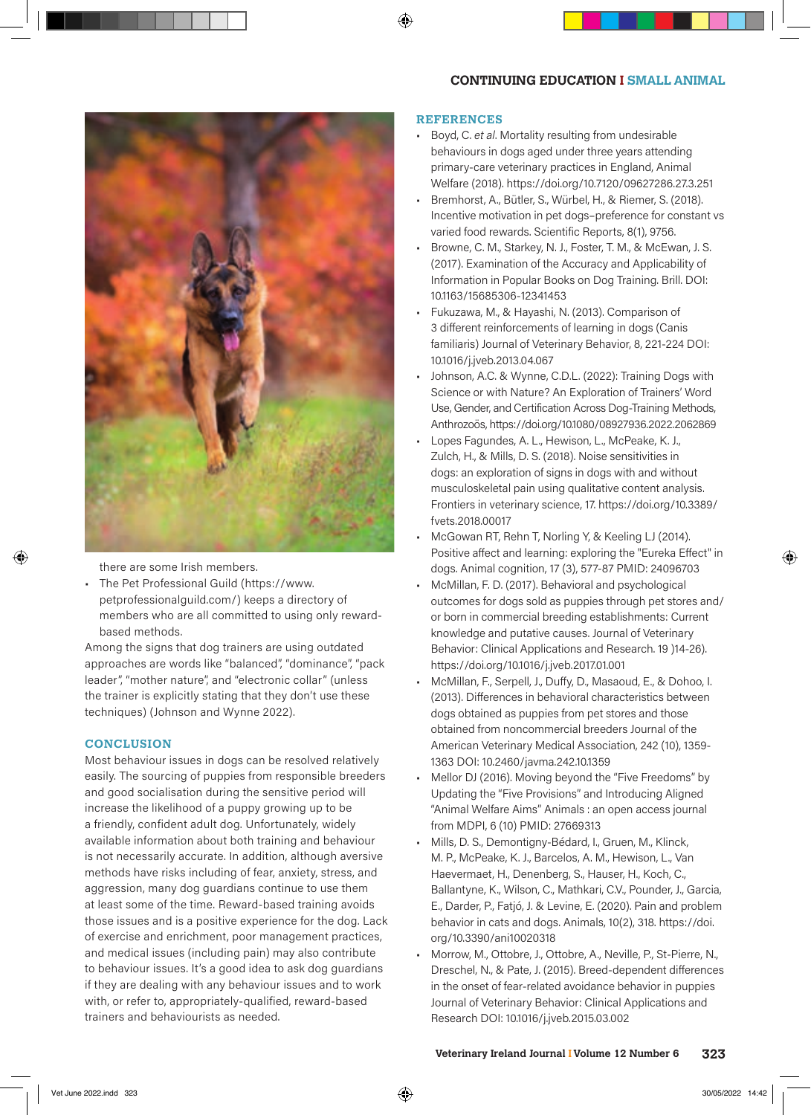#### **CONTINUING EDUCATION I SMALL ANIMAL**



there are some Irish members.

• The Pet Professional Guild (https://www. petprofessionalguild.com/) keeps a directory of members who are all committed to using only rewardbased methods.

Among the signs that dog trainers are using outdated approaches are words like "balanced", "dominance", "pack leader", "mother nature", and "electronic collar" (unless the trainer is explicitly stating that they don't use these techniques) (Johnson and Wynne 2022).

#### **CONCLUSION**

Most behaviour issues in dogs can be resolved relatively easily. The sourcing of puppies from responsible breeders and good socialisation during the sensitive period will increase the likelihood of a puppy growing up to be a friendly, confident adult dog. Unfortunately, widely available information about both training and behaviour is not necessarily accurate. In addition, although aversive methods have risks including of fear, anxiety, stress, and aggression, many dog guardians continue to use them at least some of the time. Reward-based training avoids those issues and is a positive experience for the dog. Lack of exercise and enrichment, poor management practices, and medical issues (including pain) may also contribute to behaviour issues. It's a good idea to ask dog guardians if they are dealing with any behaviour issues and to work with, or refer to, appropriately-qualified, reward-based trainers and behaviourists as needed.

#### **REFERENCES**

- Boyd, C. *et al*. Mortality resulting from undesirable behaviours in dogs aged under three years attending primary-care veterinary practices in England, Animal Welfare (2018). https://doi.org/10.7120/09627286.27.3.251
- Bremhorst, A., Bütler, S., Würbel, H., & Riemer, S. (2018). Incentive motivation in pet dogs–preference for constant vs varied food rewards. Scientific Reports, 8(1), 9756.
- Browne, C. M., Starkey, N. J., Foster, T. M., & McEwan, J. S. (2017). Examination of the Accuracy and Applicability of Information in Popular Books on Dog Training. Brill. DOI: 10.1163/15685306-12341453
- Fukuzawa, M., & Hayashi, N. (2013). Comparison of 3 different reinforcements of learning in dogs (Canis familiaris) Journal of Veterinary Behavior, 8, 221-224 DOI: 10.1016/j.jveb.2013.04.067
- Johnson, A.C. & Wynne, C.D.L. (2022): Training Dogs with Science or with Nature? An Exploration of Trainers' Word Use, Gender, and Certification Across Dog-Training Methods, Anthrozoös, https://doi.org/10.1080/08927936.2022.2062869
- Lopes Fagundes, A. L., Hewison, L., McPeake, K. J., Zulch, H., & Mills, D. S. (2018). Noise sensitivities in dogs: an exploration of signs in dogs with and without musculoskeletal pain using qualitative content analysis. Frontiers in veterinary science, 17. https://doi.org/10.3389/ fvets.2018.00017
- McGowan RT, Rehn T, Norling Y, & Keeling LJ (2014). Positive affect and learning: exploring the "Eureka Effect" in dogs. Animal cognition, 17 (3), 577-87 PMID: 24096703
- McMillan, F. D. (2017). Behavioral and psychological outcomes for dogs sold as puppies through pet stores and/ or born in commercial breeding establishments: Current knowledge and putative causes. Journal of Veterinary Behavior: Clinical Applications and Research. 19 )14-26). https://doi.org/10.1016/j.jveb.2017.01.001
- McMillan, F., Serpell, J., Duffy, D., Masaoud, E., & Dohoo, I. (2013). Differences in behavioral characteristics between dogs obtained as puppies from pet stores and those obtained from noncommercial breeders Journal of the American Veterinary Medical Association, 242 (10), 1359- 1363 DOI: 10.2460/javma.242.10.1359
- Mellor DJ (2016). Moving beyond the "Five Freedoms" by Updating the "Five Provisions" and Introducing Aligned "Animal Welfare Aims" Animals : an open access journal from MDPI, 6 (10) PMID: 27669313
- Mills, D. S., Demontigny-Bédard, I., Gruen, M., Klinck, M. P., McPeake, K. J., Barcelos, A. M., Hewison, L., Van Haevermaet, H., Denenberg, S., Hauser, H., Koch, C., Ballantyne, K., Wilson, C., Mathkari, C.V., Pounder, J., Garcia, E., Darder, P., Fatjó, J. & Levine, E. (2020). Pain and problem behavior in cats and dogs. Animals, 10(2), 318. https://doi. org/10.3390/ani10020318
- Morrow, M., Ottobre, J., Ottobre, A., Neville, P., St-Pierre, N., Dreschel, N., & Pate, J. (2015). Breed-dependent differences in the onset of fear-related avoidance behavior in puppies Journal of Veterinary Behavior: Clinical Applications and Research DOI: 10.1016/j.jveb.2015.03.002